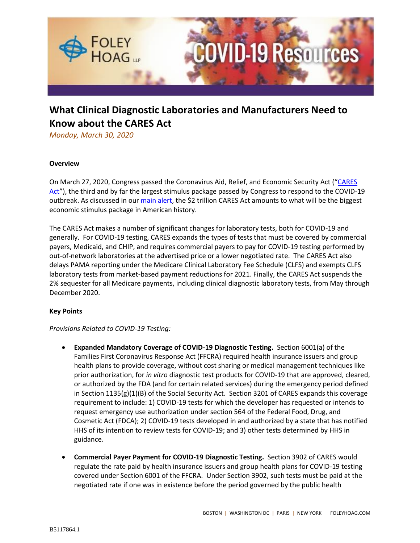

# **What Clinical Diagnostic Laboratories and Manufacturers Need to Know about the CARES Act**

*Monday, March 30, 2020*

## **Overview**

On March 27, 2020, Congress passed the Coronavirus Aid, Relief, and Economic Security Act ("[CARES](https://www.congress.gov/116/bills/hr748/BILLS-116hr748eas.pdf)  [Act](https://www.congress.gov/116/bills/hr748/BILLS-116hr748eas.pdf)"), the third and by far the largest stimulus package passed by Congress to respond to the COVID-19 outbreak. As discussed in our [main alert,](https://foleyhoag.com/publications/alerts-and-updates/2020/march/the-2-trillion-federal-cares-act-the-key-financial-assistance-provisions-key-legislative-changes-and-next-steps) the \$2 trillion CARES Act amounts to what will be the biggest economic stimulus package in American history.

The CARES Act makes a number of significant changes for laboratory tests, both for COVID-19 and generally. For COVID-19 testing, CARES expands the types of tests that must be covered by commercial payers, Medicaid, and CHIP, and requires commercial payers to pay for COVID-19 testing performed by out-of-network laboratories at the advertised price or a lower negotiated rate. The CARES Act also delays PAMA reporting under the Medicare Clinical Laboratory Fee Schedule (CLFS) and exempts CLFS laboratory tests from market-based payment reductions for 2021. Finally, the CARES Act suspends the 2% sequester for all Medicare payments, including clinical diagnostic laboratory tests, from May through December 2020.

## **Key Points**

## *Provisions Related to COVID-19 Testing:*

- **Expanded Mandatory Coverage of COVID-19 Diagnostic Testing.** Section 6001(a) of the Families First Coronavirus Response Act (FFCRA) required health insurance issuers and group health plans to provide coverage, without cost sharing or medical management techniques like prior authorization, for *in vitro* diagnostic test products for COVID-19 that are approved, cleared, or authorized by the FDA (and for certain related services) during the emergency period defined in Section 1135(g)(1)(B) of the Social Security Act. Section 3201 of CARES expands this coverage requirement to include: 1) COVID-19 tests for which the developer has requested or intends to request emergency use authorization under section 564 of the Federal Food, Drug, and Cosmetic Act (FDCA); 2) COVID-19 tests developed in and authorized by a state that has notified HHS of its intention to review tests for COVID-19; and 3) other tests determined by HHS in guidance.
- **Commercial Payer Payment for COVID-19 Diagnostic Testing.** Section 3902 of CARES would regulate the rate paid by health insurance issuers and group health plans for COVID-19 testing covered under Section 6001 of the FFCRA. Under Section 3902, such tests must be paid at the negotiated rate if one was in existence before the period governed by the public health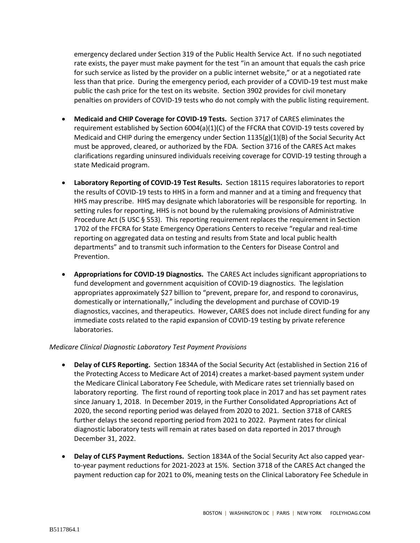emergency declared under Section 319 of the Public Health Service Act. If no such negotiated rate exists, the payer must make payment for the test "in an amount that equals the cash price for such service as listed by the provider on a public internet website," or at a negotiated rate less than that price. During the emergency period, each provider of a COVID-19 test must make public the cash price for the test on its website. Section 3902 provides for civil monetary penalties on providers of COVID-19 tests who do not comply with the public listing requirement.

- **Medicaid and CHIP Coverage for COVID-19 Tests.** Section 3717 of CARES eliminates the requirement established by Section 6004(a)(1)(C) of the FFCRA that COVID-19 tests covered by Medicaid and CHIP during the emergency under Section  $1135(g)(1)(B)$  of the Social Security Act must be approved, cleared, or authorized by the FDA. Section 3716 of the CARES Act makes clarifications regarding uninsured individuals receiving coverage for COVID-19 testing through a state Medicaid program.
- **Laboratory Reporting of COVID-19 Test Results.** Section 18115 requires laboratories to report the results of COVID-19 tests to HHS in a form and manner and at a timing and frequency that HHS may prescribe. HHS may designate which laboratories will be responsible for reporting. In setting rules for reporting, HHS is not bound by the rulemaking provisions of Administrative Procedure Act (5 USC § 553). This reporting requirement replaces the requirement in Section 1702 of the FFCRA for State Emergency Operations Centers to receive "regular and real-time reporting on aggregated data on testing and results from State and local public health departments" and to transmit such information to the Centers for Disease Control and Prevention.
- **Appropriations for COVID-19 Diagnostics.** The CARES Act includes significant appropriations to fund development and government acquisition of COVID-19 diagnostics. The legislation appropriates approximately \$27 billion to "prevent, prepare for, and respond to coronavirus, domestically or internationally," including the development and purchase of COVID-19 diagnostics, vaccines, and therapeutics. However, CARES does not include direct funding for any immediate costs related to the rapid expansion of COVID-19 testing by private reference laboratories.

## *Medicare Clinical Diagnostic Laboratory Test Payment Provisions*

- **Delay of CLFS Reporting.** Section 1834A of the Social Security Act (established in Section 216 of the Protecting Access to Medicare Act of 2014) creates a market-based payment system under the Medicare Clinical Laboratory Fee Schedule, with Medicare rates set triennially based on laboratory reporting. The first round of reporting took place in 2017 and has set payment rates since January 1, 2018. In December 2019, in the Further Consolidated Appropriations Act of 2020, the second reporting period was delayed from 2020 to 2021. Section 3718 of CARES further delays the second reporting period from 2021 to 2022. Payment rates for clinical diagnostic laboratory tests will remain at rates based on data reported in 2017 through December 31, 2022.
- **Delay of CLFS Payment Reductions.** Section 1834A of the Social Security Act also capped yearto-year payment reductions for 2021-2023 at 15%. Section 3718 of the CARES Act changed the payment reduction cap for 2021 to 0%, meaning tests on the Clinical Laboratory Fee Schedule in